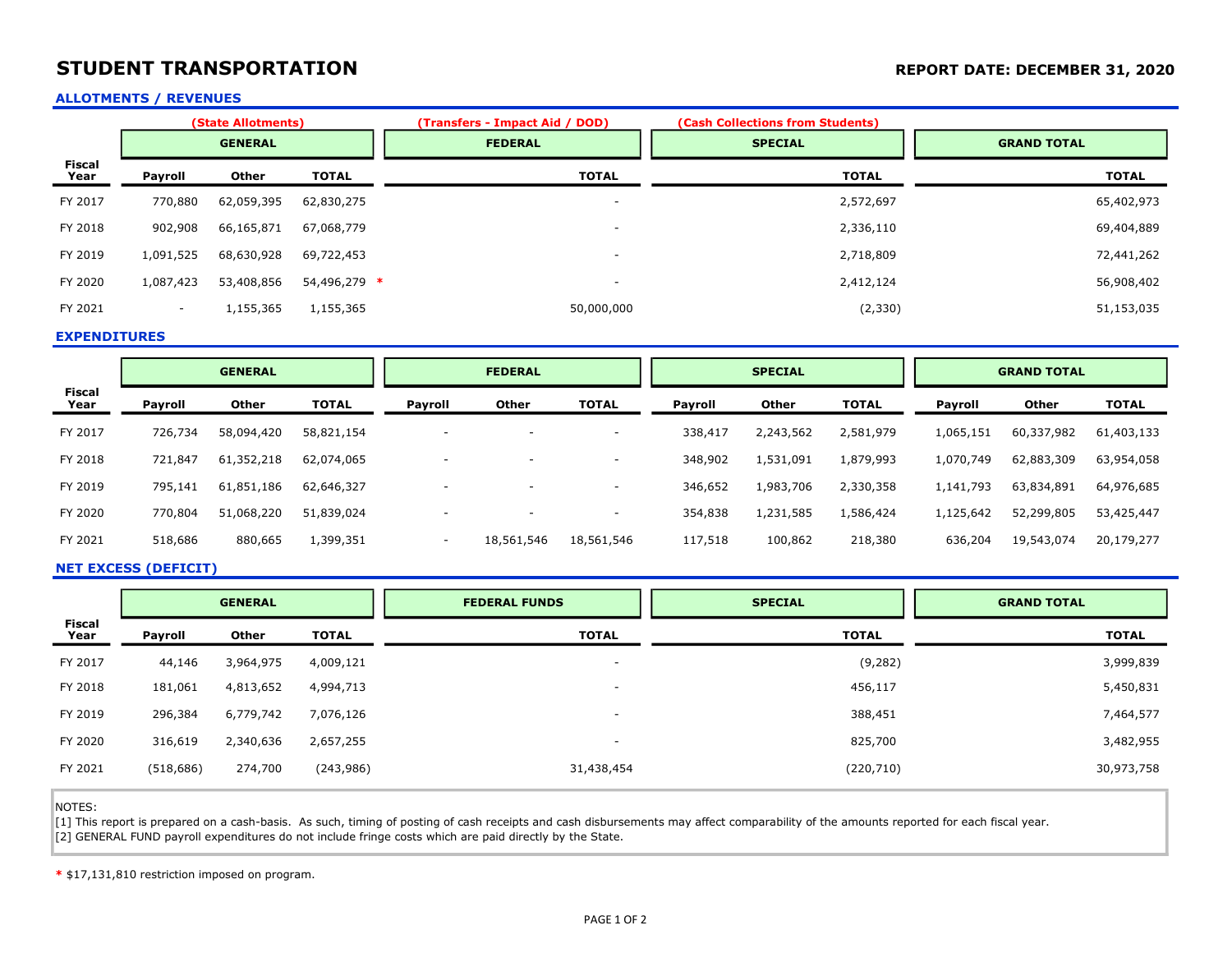# STUDENT TRANSPORTATION **STUDENT TRANSPORTATION REPORT DATE: DECEMBER 31, 2020**

## ALLOTMENTS / REVENUES

|                | (State Allotments) |              |              | (Transfers - Impact Aid / DOD) | (Cash Collections from Students) |                    |  |
|----------------|--------------------|--------------|--------------|--------------------------------|----------------------------------|--------------------|--|
|                | <b>GENERAL</b>     |              |              | <b>FEDERAL</b>                 | <b>SPECIAL</b>                   | <b>GRAND TOTAL</b> |  |
| Fiscal<br>Year | Payroll            | <b>Other</b> | <b>TOTAL</b> | <b>TOTAL</b>                   | <b>TOTAL</b>                     | <b>TOTAL</b>       |  |
| FY 2017        | 770,880            | 62,059,395   | 62,830,275   | $\overline{\phantom{a}}$       | 2,572,697                        | 65,402,973         |  |
| FY 2018        | 902,908            | 66,165,871   | 67,068,779   | $\overline{\phantom{a}}$       | 2,336,110                        | 69,404,889         |  |
| FY 2019        | 1,091,525          | 68,630,928   | 69,722,453   | $\sim$                         | 2,718,809                        | 72,441,262         |  |
| FY 2020        | 1,087,423          | 53,408,856   | 54,496,279 * |                                | 2,412,124                        | 56,908,402         |  |
| FY 2021        | $\sim$             | 1,155,365    | 1,155,365    | 50,000,000                     | (2, 330)                         | 51,153,035         |  |

### EXPENDITURES

|                       | <b>GENERAL</b> |              | <b>FEDERAL</b> |                          | <b>SPECIAL</b> |                          |         | <b>GRAND TOTAL</b> |              |                |            |              |
|-----------------------|----------------|--------------|----------------|--------------------------|----------------|--------------------------|---------|--------------------|--------------|----------------|------------|--------------|
| <b>Fiscal</b><br>Year | Payroll        | <b>Other</b> | <b>TOTAL</b>   | Payroll                  | <b>Other</b>   | <b>TOTAL</b>             | Payroll | Other              | <b>TOTAL</b> | <b>Payroll</b> | Other      | <b>TOTAL</b> |
| FY 2017               | 726,734        | 58,094,420   | 58,821,154     | $\overline{\phantom{a}}$ |                | $\overline{\phantom{a}}$ | 338,417 | 2,243,562          | 2,581,979    | 1,065,151      | 60,337,982 | 61,403,133   |
| FY 2018               | 721,847        | 61,352,218   | 62,074,065     | -                        |                | <b>.</b>                 | 348,902 | 1,531,091          | 1,879,993    | 1,070,749      | 62,883,309 | 63,954,058   |
| FY 2019               | 795,141        | 61,851,186   | 62,646,327     | $\overline{\phantom{a}}$ |                | $\overline{\phantom{a}}$ | 346,652 | 1,983,706          | 2,330,358    | 1,141,793      | 63,834,891 | 64,976,685   |
| FY 2020               | 770,804        | 51,068,220   | 51,839,024     | $\overline{\phantom{a}}$ |                | $\overline{\phantom{a}}$ | 354,838 | 1,231,585          | 1,586,424    | 1,125,642      | 52,299,805 | 53,425,447   |
| FY 2021               | 518,686        | 880,665      | 1,399,351      | $\overline{\phantom{a}}$ | 18,561,546     | 18,561,546               | 117,518 | 100,862            | 218,380      | 636,204        | 19,543,074 | 20,179,277   |

#### NET EXCESS (DEFICIT)

|                       | <b>GENERAL</b> |              |              | <b>FEDERAL FUNDS</b>     | <b>SPECIAL</b> | <b>GRAND TOTAL</b> |  |
|-----------------------|----------------|--------------|--------------|--------------------------|----------------|--------------------|--|
| <b>Fiscal</b><br>Year | Payroll        | <b>Other</b> | <b>TOTAL</b> | <b>TOTAL</b>             | <b>TOTAL</b>   | <b>TOTAL</b>       |  |
| FY 2017               | 44,146         | 3,964,975    | 4,009,121    | $\overline{\phantom{a}}$ | (9, 282)       | 3,999,839          |  |
| FY 2018               | 181,061        | 4,813,652    | 4,994,713    | $\overline{\phantom{a}}$ | 456,117        | 5,450,831          |  |
| FY 2019               | 296,384        | 6,779,742    | 7,076,126    | $\overline{\phantom{a}}$ | 388,451        | 7,464,577          |  |
| FY 2020               | 316,619        | 2,340,636    | 2,657,255    | $\overline{\phantom{a}}$ | 825,700        | 3,482,955          |  |
| FY 2021               | (518, 686)     | 274,700      | (243,986)    | 31,438,454               | (220, 710)     | 30,973,758         |  |

NOTES:

ī

[1] This report is prepared on a cash-basis. As such, timing of posting of cash receipts and cash disbursements may affect comparability of the amounts reported for each fiscal year. [2] GENERAL FUND payroll expenditures do not include fringe costs which are paid directly by the State.

\* \$17,131,810 restriction imposed on program.